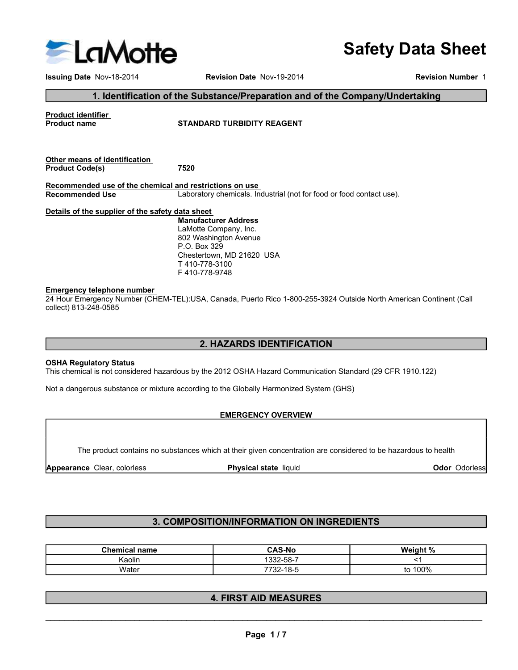

Issuing Date Nov-18-2014 Revision Date Nov-19-2014 Revision Number 1

Safety Data Sheet

#### 1. Identification of the Substance/Preparation and of the Company/Undertaking

Product identifier<br>Product name example and the STANDARD TURBIDITY REAGENT

Other means of identification

Safety Data SI<br>
Issuing Date Nov-18-2014<br>
Issuing Date Nov-18-2014<br> **Product identification of the Substance/Preparation and of the Company/Undertaking<br>
Product Code(s)**<br>
Product Code(s)<br> **Product Code(s)**<br> **Product Code(s** Recommended use of the chemical and restrictions on use<br>Recommended Use<br>Laboratory chemicals. In Laboratory chemicals. Industrial (not for food or food contact use).

#### Details of the supplier of the safety data sheet

Manufacturer Address LaMotte Company, Inc. 802 Washington Avenue P.O. Box 329 Chestertown, MD 21620 USA T 410-778-3100 F 410-778-9748

#### Emergency telephone number

24 Hour Emergency Number (CHEM-TEL):USA, Canada, Puerto Rico 1-800-255-3924 Outside North American Continent (Call collect) 813-248-0585

## 2. HAZARDS IDENTIFICATION

#### OSHA Regulatory Status

#### EMERGENCY OVERVIEW

## 3. COMPOSITION/INFORMATION ON INGREDIENTS

| <b>OSHA Regulatory Status</b><br>This chemical is not considered hazardous by the 2012 OSHA Hazard Communication Standard (29 CFR 1910.122)<br>Not a dangerous substance or mixture according to the Globally Harmonized System (GHS)<br><b>EMERGENCY OVERVIEW</b><br>The product contains no substances which at their given concentration are considered to be hazardous to health<br>Appearance Clear, colorless<br>Physical state liquid<br>3. COMPOSITION/INFORMATION ON INGREDIENTS<br><b>CAS-No</b><br><b>Chemical name</b><br>Weight %<br>Kaolin<br>1332-58-7<br><1<br>7732-18-5<br>to 100%<br>Water<br><b>4. FIRST AID MEASURES</b> | 2. HAZARDS IDENTIFICATION |               |
|----------------------------------------------------------------------------------------------------------------------------------------------------------------------------------------------------------------------------------------------------------------------------------------------------------------------------------------------------------------------------------------------------------------------------------------------------------------------------------------------------------------------------------------------------------------------------------------------------------------------------------------------|---------------------------|---------------|
|                                                                                                                                                                                                                                                                                                                                                                                                                                                                                                                                                                                                                                              |                           |               |
|                                                                                                                                                                                                                                                                                                                                                                                                                                                                                                                                                                                                                                              |                           |               |
|                                                                                                                                                                                                                                                                                                                                                                                                                                                                                                                                                                                                                                              |                           |               |
|                                                                                                                                                                                                                                                                                                                                                                                                                                                                                                                                                                                                                                              |                           |               |
|                                                                                                                                                                                                                                                                                                                                                                                                                                                                                                                                                                                                                                              |                           | Odor Odorless |
|                                                                                                                                                                                                                                                                                                                                                                                                                                                                                                                                                                                                                                              |                           |               |
|                                                                                                                                                                                                                                                                                                                                                                                                                                                                                                                                                                                                                                              |                           |               |
|                                                                                                                                                                                                                                                                                                                                                                                                                                                                                                                                                                                                                                              |                           |               |
|                                                                                                                                                                                                                                                                                                                                                                                                                                                                                                                                                                                                                                              |                           |               |
|                                                                                                                                                                                                                                                                                                                                                                                                                                                                                                                                                                                                                                              |                           |               |
|                                                                                                                                                                                                                                                                                                                                                                                                                                                                                                                                                                                                                                              |                           |               |
| Page 1/7                                                                                                                                                                                                                                                                                                                                                                                                                                                                                                                                                                                                                                     |                           |               |
|                                                                                                                                                                                                                                                                                                                                                                                                                                                                                                                                                                                                                                              |                           |               |

## 4. FIRST AID MEASURES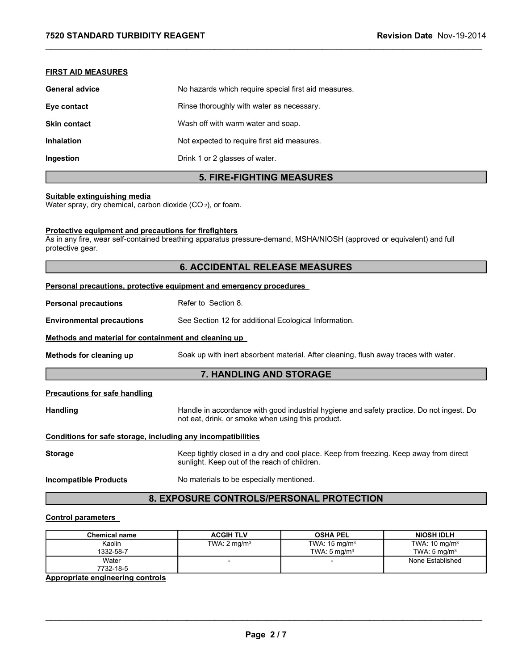# FIRST AID MEASURES

| 7520 STANDARD TURBIDITY REAGENT                    |                                                      | Revision Date Nov-19-2014 |
|----------------------------------------------------|------------------------------------------------------|---------------------------|
|                                                    |                                                      |                           |
| <b>FIRST AID MEASURES</b><br><b>General advice</b> | No hazards which require special first aid measures. |                           |
| Eye contact                                        | Rinse thoroughly with water as necessary.            |                           |
| <b>Skin contact</b>                                | Wash off with warm water and soap.                   |                           |
| Inhalation                                         | Not expected to require first aid measures.          |                           |

# 5. FIRE-FIGHTING MEASURES

## Suitable extinguishing media

Water spray, dry chemical, carbon dioxide (CO<sub>2</sub>), or foam.

### Protective equipment and precautions for firefighters

As in any fire, wear self-contained breathing apparatus pressure-demand, MSHA/NIOSH (approved or equivalent) and full protective gear.

# 6. ACCIDENTAL RELEASE MEASURES

| Refer to Section 8.<br>See Section 12 for additional Ecological Information.<br>Methods and material for containment and cleaning up<br>Soak up with inert absorbent material. After cleaning, flush away traces with water.<br>7. HANDLING AND STORAGE<br>Handle in accordance with good industrial hygiene and safety practice. Do not ingest. Do<br>not eat, drink, or smoke when using this product.<br>Conditions for safe storage, including any incompatibilities<br>Keep tightly closed in a dry and cool place. Keep from freezing. Keep away from direct<br>sunlight. Keep out of the reach of children.<br>No materials to be especially mentioned.<br>8. EXPOSURE CONTROLS/PERSONAL PROTECTION<br><b>ACGIH TLV</b><br><b>NIOSH IDLH</b><br><b>OSHA PEL</b><br><b>Chemical name</b><br>TWA: 15 mg/m <sup>3</sup><br>TWA: 10 mg/m <sup>3</sup><br>Kaolin<br>TWA: $2 \text{ mg/m}^3$<br>1332-58-7<br>TWA: $5 \text{ mg/m}^3$<br>TWA: $5 \text{ mg/m}^3$<br>Water<br>None Established<br>$\blacksquare$<br>7732-18-5 |                                         | Personal precautions, protective equipment and emergency procedures |  |
|------------------------------------------------------------------------------------------------------------------------------------------------------------------------------------------------------------------------------------------------------------------------------------------------------------------------------------------------------------------------------------------------------------------------------------------------------------------------------------------------------------------------------------------------------------------------------------------------------------------------------------------------------------------------------------------------------------------------------------------------------------------------------------------------------------------------------------------------------------------------------------------------------------------------------------------------------------------------------------------------------------------------------|-----------------------------------------|---------------------------------------------------------------------|--|
|                                                                                                                                                                                                                                                                                                                                                                                                                                                                                                                                                                                                                                                                                                                                                                                                                                                                                                                                                                                                                              | <b>Personal precautions</b>             |                                                                     |  |
|                                                                                                                                                                                                                                                                                                                                                                                                                                                                                                                                                                                                                                                                                                                                                                                                                                                                                                                                                                                                                              | <b>Environmental precautions</b>        |                                                                     |  |
|                                                                                                                                                                                                                                                                                                                                                                                                                                                                                                                                                                                                                                                                                                                                                                                                                                                                                                                                                                                                                              |                                         |                                                                     |  |
|                                                                                                                                                                                                                                                                                                                                                                                                                                                                                                                                                                                                                                                                                                                                                                                                                                                                                                                                                                                                                              | Methods for cleaning up                 |                                                                     |  |
|                                                                                                                                                                                                                                                                                                                                                                                                                                                                                                                                                                                                                                                                                                                                                                                                                                                                                                                                                                                                                              |                                         |                                                                     |  |
|                                                                                                                                                                                                                                                                                                                                                                                                                                                                                                                                                                                                                                                                                                                                                                                                                                                                                                                                                                                                                              | <b>Precautions for safe handling</b>    |                                                                     |  |
|                                                                                                                                                                                                                                                                                                                                                                                                                                                                                                                                                                                                                                                                                                                                                                                                                                                                                                                                                                                                                              | <b>Handling</b>                         |                                                                     |  |
|                                                                                                                                                                                                                                                                                                                                                                                                                                                                                                                                                                                                                                                                                                                                                                                                                                                                                                                                                                                                                              |                                         |                                                                     |  |
|                                                                                                                                                                                                                                                                                                                                                                                                                                                                                                                                                                                                                                                                                                                                                                                                                                                                                                                                                                                                                              | <b>Storage</b>                          |                                                                     |  |
|                                                                                                                                                                                                                                                                                                                                                                                                                                                                                                                                                                                                                                                                                                                                                                                                                                                                                                                                                                                                                              | <b>Incompatible Products</b>            |                                                                     |  |
|                                                                                                                                                                                                                                                                                                                                                                                                                                                                                                                                                                                                                                                                                                                                                                                                                                                                                                                                                                                                                              |                                         |                                                                     |  |
|                                                                                                                                                                                                                                                                                                                                                                                                                                                                                                                                                                                                                                                                                                                                                                                                                                                                                                                                                                                                                              | <b>Control parameters</b>               |                                                                     |  |
|                                                                                                                                                                                                                                                                                                                                                                                                                                                                                                                                                                                                                                                                                                                                                                                                                                                                                                                                                                                                                              |                                         |                                                                     |  |
|                                                                                                                                                                                                                                                                                                                                                                                                                                                                                                                                                                                                                                                                                                                                                                                                                                                                                                                                                                                                                              |                                         |                                                                     |  |
|                                                                                                                                                                                                                                                                                                                                                                                                                                                                                                                                                                                                                                                                                                                                                                                                                                                                                                                                                                                                                              |                                         |                                                                     |  |
|                                                                                                                                                                                                                                                                                                                                                                                                                                                                                                                                                                                                                                                                                                                                                                                                                                                                                                                                                                                                                              | <b>Appropriate engineering controls</b> |                                                                     |  |
|                                                                                                                                                                                                                                                                                                                                                                                                                                                                                                                                                                                                                                                                                                                                                                                                                                                                                                                                                                                                                              |                                         |                                                                     |  |
|                                                                                                                                                                                                                                                                                                                                                                                                                                                                                                                                                                                                                                                                                                                                                                                                                                                                                                                                                                                                                              |                                         |                                                                     |  |
|                                                                                                                                                                                                                                                                                                                                                                                                                                                                                                                                                                                                                                                                                                                                                                                                                                                                                                                                                                                                                              |                                         |                                                                     |  |
| Page 2/7                                                                                                                                                                                                                                                                                                                                                                                                                                                                                                                                                                                                                                                                                                                                                                                                                                                                                                                                                                                                                     |                                         |                                                                     |  |
|                                                                                                                                                                                                                                                                                                                                                                                                                                                                                                                                                                                                                                                                                                                                                                                                                                                                                                                                                                                                                              |                                         |                                                                     |  |

#### Control parameters

| TWA: 10 mg/m <sup>3</sup><br>TWA: $2 \text{ mg/m}^3$<br>TWA: $15 \text{ mg/m}^3$<br>Kaolin<br>TWA: $5 \text{ mg/m}^3$<br>1332-58-7<br>TWA: $5 \text{ mg/m}^3$<br>None Established<br>Water<br>$\overline{\phantom{a}}$<br>$\overline{\phantom{0}}$<br>7732-18-5 |
|-----------------------------------------------------------------------------------------------------------------------------------------------------------------------------------------------------------------------------------------------------------------|
|                                                                                                                                                                                                                                                                 |
|                                                                                                                                                                                                                                                                 |
|                                                                                                                                                                                                                                                                 |
|                                                                                                                                                                                                                                                                 |
| <b>Appropriate engineering controls</b>                                                                                                                                                                                                                         |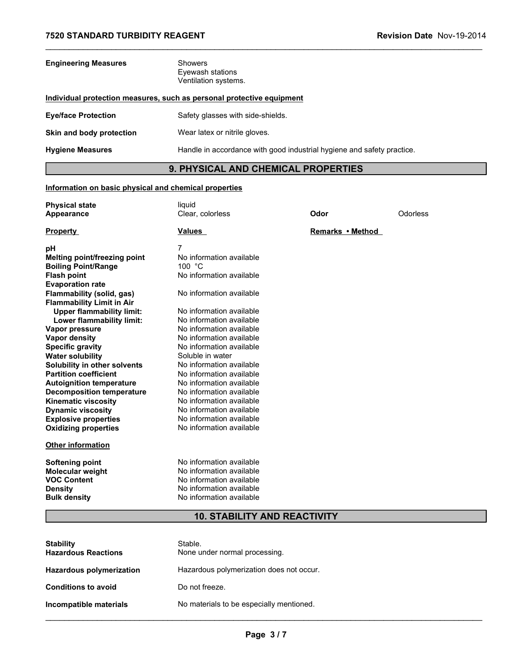| 7520 STANDARD TURBIDITY REAGENT | Revision Date Nov-19-2014                                              |
|---------------------------------|------------------------------------------------------------------------|
| <b>Engineering Measures</b>     | Showers<br>Eyewash stations<br>Ventilation systems.                    |
|                                 | Individual protection measures, such as personal protective equipment  |
| <b>Eye/face Protection</b>      | Safety glasses with side-shields.                                      |
| Skin and body protection        | Wear latex or nitrile gloves.                                          |
| <b>Hygiene Measures</b>         | Handle in accordance with good industrial hygiene and safety practice. |
|                                 | 9. PHYSICAL AND CHEMICAL PROPERTIES                                    |

# Information on basic physical and chemical properties

| <b>Engineering Measures</b>                                                                                                                                                                                                                                                                                                                                                                                                                                                                                                                                                                                                                                                                                                                                 | Showers<br>Eyewash stations<br>Ventilation systems.                                                                                                                                                                                                                                                                                                                                                                                                                                                                                                                                                                                         |                  |          |
|-------------------------------------------------------------------------------------------------------------------------------------------------------------------------------------------------------------------------------------------------------------------------------------------------------------------------------------------------------------------------------------------------------------------------------------------------------------------------------------------------------------------------------------------------------------------------------------------------------------------------------------------------------------------------------------------------------------------------------------------------------------|---------------------------------------------------------------------------------------------------------------------------------------------------------------------------------------------------------------------------------------------------------------------------------------------------------------------------------------------------------------------------------------------------------------------------------------------------------------------------------------------------------------------------------------------------------------------------------------------------------------------------------------------|------------------|----------|
|                                                                                                                                                                                                                                                                                                                                                                                                                                                                                                                                                                                                                                                                                                                                                             | Individual protection measures, such as personal protective equipment                                                                                                                                                                                                                                                                                                                                                                                                                                                                                                                                                                       |                  |          |
| <b>Eye/face Protection</b>                                                                                                                                                                                                                                                                                                                                                                                                                                                                                                                                                                                                                                                                                                                                  | Safety glasses with side-shields.                                                                                                                                                                                                                                                                                                                                                                                                                                                                                                                                                                                                           |                  |          |
| Skin and body protection                                                                                                                                                                                                                                                                                                                                                                                                                                                                                                                                                                                                                                                                                                                                    | Wear latex or nitrile gloves.                                                                                                                                                                                                                                                                                                                                                                                                                                                                                                                                                                                                               |                  |          |
| <b>Hygiene Measures</b>                                                                                                                                                                                                                                                                                                                                                                                                                                                                                                                                                                                                                                                                                                                                     | Handle in accordance with good industrial hygiene and safety practice.                                                                                                                                                                                                                                                                                                                                                                                                                                                                                                                                                                      |                  |          |
|                                                                                                                                                                                                                                                                                                                                                                                                                                                                                                                                                                                                                                                                                                                                                             | 9. PHYSICAL AND CHEMICAL PROPERTIES                                                                                                                                                                                                                                                                                                                                                                                                                                                                                                                                                                                                         |                  |          |
| Information on basic physical and chemical properties                                                                                                                                                                                                                                                                                                                                                                                                                                                                                                                                                                                                                                                                                                       |                                                                                                                                                                                                                                                                                                                                                                                                                                                                                                                                                                                                                                             |                  |          |
| <b>Physical state</b>                                                                                                                                                                                                                                                                                                                                                                                                                                                                                                                                                                                                                                                                                                                                       | liquid                                                                                                                                                                                                                                                                                                                                                                                                                                                                                                                                                                                                                                      |                  |          |
| <b>Appearance</b>                                                                                                                                                                                                                                                                                                                                                                                                                                                                                                                                                                                                                                                                                                                                           | Clear, colorless                                                                                                                                                                                                                                                                                                                                                                                                                                                                                                                                                                                                                            | Odor             | Odorless |
| <b>Property</b>                                                                                                                                                                                                                                                                                                                                                                                                                                                                                                                                                                                                                                                                                                                                             | Values                                                                                                                                                                                                                                                                                                                                                                                                                                                                                                                                                                                                                                      | Remarks • Method |          |
| pH<br>Melting point/freezing point<br><b>Boiling Point/Range</b><br><b>Flash point</b><br><b>Evaporation rate</b><br>Flammability (solid, gas)<br><b>Flammability Limit in Air</b><br><b>Upper flammability limit:</b><br>Lower flammability limit:<br>Vapor pressure<br><b>Vapor density</b><br><b>Specific gravity</b><br><b>Water solubility</b><br>Solubility in other solvents<br><b>Partition coefficient</b><br><b>Autoignition temperature</b><br><b>Decomposition temperature</b><br><b>Kinematic viscosity</b><br><b>Dynamic viscosity</b><br><b>Explosive properties</b><br><b>Oxidizing properties</b><br><b>Other information</b><br><b>Softening point</b><br>Molecular weight<br><b>VOC Content</b><br><b>Density</b><br><b>Bulk density</b> | 7<br>No information available<br>100 °C<br>No information available<br>No information available<br>No information available<br>No information available<br>No information available<br>No information available<br>No information available<br>Soluble in water<br>No information available<br>No information available<br>No information available<br>No information available<br>No information available<br>No information available<br>No information available<br>No information available<br>No information available<br>No information available<br>No information available<br>No information available<br>No information available |                  |          |
|                                                                                                                                                                                                                                                                                                                                                                                                                                                                                                                                                                                                                                                                                                                                                             | <b>10. STABILITY AND REACTIVITY</b>                                                                                                                                                                                                                                                                                                                                                                                                                                                                                                                                                                                                         |                  |          |
|                                                                                                                                                                                                                                                                                                                                                                                                                                                                                                                                                                                                                                                                                                                                                             |                                                                                                                                                                                                                                                                                                                                                                                                                                                                                                                                                                                                                                             |                  |          |
| <b>Stability</b><br><b>Hazardous Reactions</b>                                                                                                                                                                                                                                                                                                                                                                                                                                                                                                                                                                                                                                                                                                              | Stable.<br>None under normal processing.                                                                                                                                                                                                                                                                                                                                                                                                                                                                                                                                                                                                    |                  |          |
| Hazardous polymerization                                                                                                                                                                                                                                                                                                                                                                                                                                                                                                                                                                                                                                                                                                                                    | Hazardous polymerization does not occur.                                                                                                                                                                                                                                                                                                                                                                                                                                                                                                                                                                                                    |                  |          |
| <b>Conditions to avoid</b>                                                                                                                                                                                                                                                                                                                                                                                                                                                                                                                                                                                                                                                                                                                                  | Do not freeze.                                                                                                                                                                                                                                                                                                                                                                                                                                                                                                                                                                                                                              |                  |          |
| Incompatible materials                                                                                                                                                                                                                                                                                                                                                                                                                                                                                                                                                                                                                                                                                                                                      | No materials to be especially mentioned.                                                                                                                                                                                                                                                                                                                                                                                                                                                                                                                                                                                                    |                  |          |
|                                                                                                                                                                                                                                                                                                                                                                                                                                                                                                                                                                                                                                                                                                                                                             | Page 3/7                                                                                                                                                                                                                                                                                                                                                                                                                                                                                                                                                                                                                                    |                  |          |
|                                                                                                                                                                                                                                                                                                                                                                                                                                                                                                                                                                                                                                                                                                                                                             |                                                                                                                                                                                                                                                                                                                                                                                                                                                                                                                                                                                                                                             |                  |          |
|                                                                                                                                                                                                                                                                                                                                                                                                                                                                                                                                                                                                                                                                                                                                                             |                                                                                                                                                                                                                                                                                                                                                                                                                                                                                                                                                                                                                                             |                  |          |

# **10. STABILITY AND REACTIVITY**

| <b>Stability</b><br><b>Hazardous Reactions</b> | Stable.<br>None under normal processing. |
|------------------------------------------------|------------------------------------------|
| <b>Hazardous polymerization</b>                | Hazardous polymerization does not occur. |
| <b>Conditions to avoid</b>                     | Do not freeze.                           |
| Incompatible materials                         | No materials to be especially mentioned. |

\_\_\_\_\_\_\_\_\_\_\_\_\_\_\_\_\_\_\_\_\_\_\_\_\_\_\_\_\_\_\_\_\_\_\_\_\_\_\_\_\_\_\_\_\_\_\_\_\_\_\_\_\_\_\_\_\_\_\_\_\_\_\_\_\_\_\_\_\_\_\_\_\_\_\_\_\_\_\_\_\_\_\_\_\_\_\_\_\_\_\_\_\_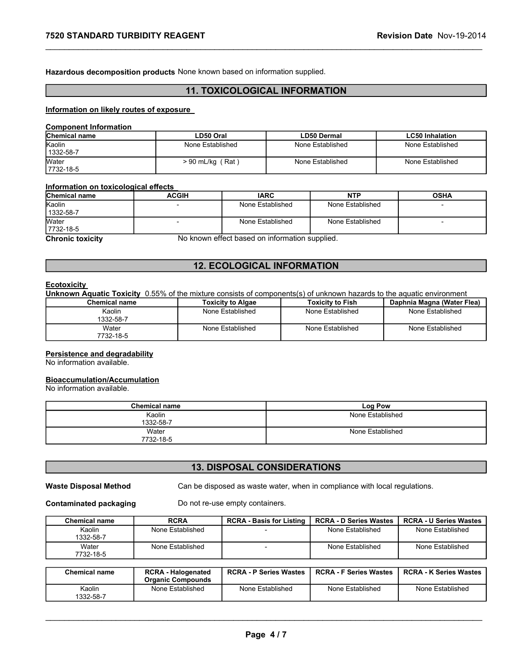TENDARD TURBIDITY REAGENT<br>
Hazardous decomposition products None known based on information supplied.<br>
TOYICOLOGICAL INFORMATION Hazardous decomposition products None known based on information supplied.

# 11. TOXICOLOGICAL INFORMATION

#### Information on likely routes of exposure

#### Component Information

| <b>7520 STANDARD TURBIDITY REAGENT</b>                          |                                                                            |                                      |                    | Revision Date Nov-19-2014            |  |
|-----------------------------------------------------------------|----------------------------------------------------------------------------|--------------------------------------|--------------------|--------------------------------------|--|
|                                                                 |                                                                            |                                      |                    |                                      |  |
|                                                                 |                                                                            |                                      |                    |                                      |  |
|                                                                 | Hazardous decomposition products None known based on information supplied. |                                      |                    |                                      |  |
|                                                                 |                                                                            |                                      |                    |                                      |  |
|                                                                 |                                                                            | <b>11. TOXICOLOGICAL INFORMATION</b> |                    |                                      |  |
|                                                                 |                                                                            |                                      |                    |                                      |  |
| Information on likely routes of exposure                        |                                                                            |                                      |                    |                                      |  |
| <b>Component Information</b>                                    |                                                                            |                                      |                    |                                      |  |
| Chemical name                                                   | LD50 Oral                                                                  |                                      | <b>LD50 Dermal</b> | <b>LC50 Inhalation</b>               |  |
| Kaolin                                                          | None Established                                                           |                                      | None Established   | None Established                     |  |
|                                                                 |                                                                            |                                      |                    |                                      |  |
| 1332-58-7                                                       |                                                                            | $> 90$ mL/kg (Rat)                   |                    | None Established<br>None Established |  |
|                                                                 |                                                                            |                                      |                    |                                      |  |
|                                                                 |                                                                            |                                      |                    |                                      |  |
| Water<br>7732-18-5                                              |                                                                            |                                      |                    |                                      |  |
| Information on toxicological effects<br>Chemical name<br>Kaolin | <b>ACGIH</b>                                                               | <b>IARC</b>                          | <b>NTP</b>         | <b>OSHA</b>                          |  |

### Information on toxicological effects

|                                                                            | <b>7520 STANDARD TURBIDITY REAGENT</b> |                    |                                                |                  |                                             | Revision Date Nov-19-2014                                                                                             |
|----------------------------------------------------------------------------|----------------------------------------|--------------------|------------------------------------------------|------------------|---------------------------------------------|-----------------------------------------------------------------------------------------------------------------------|
| Hazardous decomposition products None known based on information supplied. |                                        |                    |                                                |                  |                                             |                                                                                                                       |
|                                                                            |                                        |                    | <b>11. TOXICOLOGICAL INFORMATION</b>           |                  |                                             |                                                                                                                       |
| Information on likely routes of exposure                                   |                                        |                    |                                                |                  |                                             |                                                                                                                       |
| <b>Component Information</b>                                               |                                        |                    |                                                |                  |                                             |                                                                                                                       |
| Chemical name                                                              |                                        | LD50 Oral          |                                                |                  | <b>LD50 Dermal</b>                          | <b>LC50 Inhalation</b>                                                                                                |
| Kaolin<br>1332-58-7                                                        |                                        | None Established   |                                                |                  | None Established                            | None Established                                                                                                      |
| Water<br>7732-18-5                                                         |                                        | $> 90$ mL/kg (Rat) |                                                | None Established |                                             | None Established                                                                                                      |
|                                                                            |                                        |                    |                                                |                  |                                             |                                                                                                                       |
| Information on toxicological effects<br><b>Chemical name</b>               | <b>ACGIH</b>                           |                    | <b>IARC</b>                                    |                  | <b>NTP</b>                                  | <b>OSHA</b>                                                                                                           |
| Kaolin<br>1332-58-7                                                        |                                        | None Established   |                                                | None Established |                                             |                                                                                                                       |
| Water<br>7732-18-5                                                         | $\overline{\phantom{0}}$               | None Established   |                                                | None Established |                                             | $\blacksquare$                                                                                                        |
| <b>Chronic toxicity</b>                                                    |                                        |                    | No known effect based on information supplied. |                  |                                             |                                                                                                                       |
|                                                                            |                                        |                    |                                                |                  |                                             |                                                                                                                       |
|                                                                            |                                        |                    | <b>12. ECOLOGICAL INFORMATION</b>              |                  |                                             |                                                                                                                       |
| <b>Ecotoxicity</b>                                                         |                                        |                    |                                                |                  |                                             |                                                                                                                       |
|                                                                            |                                        |                    |                                                |                  |                                             | Unknown Aquatic Toxicity 0.55% of the mixture consists of components(s) of unknown hazards to the aquatic environment |
| <b>Chemical name</b><br>Kaolin                                             |                                        |                    | <b>Toxicity to Algae</b><br>None Established   |                  | <b>Toxicity to Fish</b><br>None Established | Daphnia Magna (Water Flea)<br>None Established                                                                        |
| 1332-58-7                                                                  |                                        |                    |                                                |                  |                                             |                                                                                                                       |
| Water<br>7732-18-5                                                         |                                        |                    | None Established                               |                  | None Established                            | None Established                                                                                                      |
|                                                                            |                                        |                    |                                                |                  |                                             |                                                                                                                       |
| <b>Persistence and degradability</b><br>No information available.          |                                        |                    |                                                |                  |                                             |                                                                                                                       |
| <b>Bioaccumulation/Accumulation</b>                                        |                                        |                    |                                                |                  |                                             |                                                                                                                       |
|                                                                            |                                        |                    |                                                |                  |                                             |                                                                                                                       |
| No information available.                                                  |                                        |                    |                                                |                  | Log Pow                                     |                                                                                                                       |
|                                                                            | <b>Chemical name</b>                   |                    |                                                |                  |                                             |                                                                                                                       |
|                                                                            | Kaolin                                 |                    |                                                |                  | None Established                            |                                                                                                                       |
|                                                                            | 1332-58-7<br>Water<br>7732-18-5        |                    |                                                |                  | None Established                            |                                                                                                                       |

### 12. ECOLOGICAL INFORMATION

#### **Ecotoxicity**

| <b>Chemical name</b> | Toxicitv to Algae | Toxicity to Fish | <b>Daphnia Magna (Water Flea)</b> |
|----------------------|-------------------|------------------|-----------------------------------|
| Kaolin<br>1332-58-7  | None Established  | None Established | None Established                  |
| Water<br>7732-18-5   | None Established  | None Established | None Established                  |

#### Persistence and degradability

#### Bioaccumulation/Accumulation

| <b>Chemical name</b> | Log Pow          |
|----------------------|------------------|
| Kaolin               | None Established |
| 1332-58-7            |                  |
| Water                | None Established |
| 7732-18-5            |                  |

# 13. DISPOSAL CONSIDERATIONS

| None Established<br>None Established<br>None Established<br>Kaolin<br>1332-58-7<br>Water<br>None Established<br>None Established<br>None Established<br>7732-18-5<br><b>Chemical name</b><br><b>Log Pow</b><br>None Established<br>Kaolin<br>1332-58-7<br>Water<br>None Established<br>7732-18-5<br><b>13. DISPOSAL CONSIDERATIONS</b><br>Can be disposed as waste water, when in compliance with local regulations.<br>Do not re-use empty containers.<br><b>RCRA</b><br><b>Chemical name</b><br><b>RCRA - Basis for Listing</b><br><b>RCRA - D Series Wastes</b><br>None Established<br>Kaolin<br>None Established<br>None Established<br>1332-58-7<br>None Established<br>None Established<br>None Established<br>Water<br>$\overline{a}$<br>7732-18-5<br><b>RCRA - Halogenated</b><br><b>RCRA - P Series Wastes</b><br><b>RCRA - F Series Wastes</b><br><b>Chemical name</b><br><b>Organic Compounds</b><br>None Established<br>None Established<br>None Established<br>None Established<br>Kaolin<br>1332-58-7 | <b>RCRA - U Series Wastes</b><br><b>RCRA - K Series Wastes</b><br>Page 4/7 | Chemical name             | <b>Toxicity to Algae</b> | <b>Toxicity to Fish</b> | Daphnia Magna (Water Flea) |
|---------------------------------------------------------------------------------------------------------------------------------------------------------------------------------------------------------------------------------------------------------------------------------------------------------------------------------------------------------------------------------------------------------------------------------------------------------------------------------------------------------------------------------------------------------------------------------------------------------------------------------------------------------------------------------------------------------------------------------------------------------------------------------------------------------------------------------------------------------------------------------------------------------------------------------------------------------------------------------------------------------------------|----------------------------------------------------------------------------|---------------------------|--------------------------|-------------------------|----------------------------|
|                                                                                                                                                                                                                                                                                                                                                                                                                                                                                                                                                                                                                                                                                                                                                                                                                                                                                                                                                                                                                     |                                                                            |                           |                          |                         |                            |
| Persistence and degradability<br>No information available.<br><b>Bioaccumulation/Accumulation</b>                                                                                                                                                                                                                                                                                                                                                                                                                                                                                                                                                                                                                                                                                                                                                                                                                                                                                                                   |                                                                            |                           |                          |                         |                            |
|                                                                                                                                                                                                                                                                                                                                                                                                                                                                                                                                                                                                                                                                                                                                                                                                                                                                                                                                                                                                                     |                                                                            |                           |                          |                         |                            |
| <b>Waste Disposal Method</b>                                                                                                                                                                                                                                                                                                                                                                                                                                                                                                                                                                                                                                                                                                                                                                                                                                                                                                                                                                                        |                                                                            |                           |                          |                         |                            |
|                                                                                                                                                                                                                                                                                                                                                                                                                                                                                                                                                                                                                                                                                                                                                                                                                                                                                                                                                                                                                     |                                                                            | No information available. |                          |                         |                            |
|                                                                                                                                                                                                                                                                                                                                                                                                                                                                                                                                                                                                                                                                                                                                                                                                                                                                                                                                                                                                                     |                                                                            |                           |                          |                         |                            |
|                                                                                                                                                                                                                                                                                                                                                                                                                                                                                                                                                                                                                                                                                                                                                                                                                                                                                                                                                                                                                     |                                                                            |                           |                          |                         |                            |
|                                                                                                                                                                                                                                                                                                                                                                                                                                                                                                                                                                                                                                                                                                                                                                                                                                                                                                                                                                                                                     |                                                                            |                           |                          |                         |                            |
|                                                                                                                                                                                                                                                                                                                                                                                                                                                                                                                                                                                                                                                                                                                                                                                                                                                                                                                                                                                                                     |                                                                            |                           |                          |                         |                            |
| <b>Contaminated packaging</b>                                                                                                                                                                                                                                                                                                                                                                                                                                                                                                                                                                                                                                                                                                                                                                                                                                                                                                                                                                                       |                                                                            |                           |                          |                         |                            |
|                                                                                                                                                                                                                                                                                                                                                                                                                                                                                                                                                                                                                                                                                                                                                                                                                                                                                                                                                                                                                     |                                                                            |                           |                          |                         |                            |
|                                                                                                                                                                                                                                                                                                                                                                                                                                                                                                                                                                                                                                                                                                                                                                                                                                                                                                                                                                                                                     |                                                                            |                           |                          |                         |                            |
|                                                                                                                                                                                                                                                                                                                                                                                                                                                                                                                                                                                                                                                                                                                                                                                                                                                                                                                                                                                                                     |                                                                            |                           |                          |                         |                            |
|                                                                                                                                                                                                                                                                                                                                                                                                                                                                                                                                                                                                                                                                                                                                                                                                                                                                                                                                                                                                                     |                                                                            |                           |                          |                         |                            |
|                                                                                                                                                                                                                                                                                                                                                                                                                                                                                                                                                                                                                                                                                                                                                                                                                                                                                                                                                                                                                     |                                                                            |                           |                          |                         |                            |
|                                                                                                                                                                                                                                                                                                                                                                                                                                                                                                                                                                                                                                                                                                                                                                                                                                                                                                                                                                                                                     |                                                                            |                           |                          |                         |                            |
|                                                                                                                                                                                                                                                                                                                                                                                                                                                                                                                                                                                                                                                                                                                                                                                                                                                                                                                                                                                                                     |                                                                            |                           |                          |                         |                            |
|                                                                                                                                                                                                                                                                                                                                                                                                                                                                                                                                                                                                                                                                                                                                                                                                                                                                                                                                                                                                                     |                                                                            |                           |                          |                         |                            |
|                                                                                                                                                                                                                                                                                                                                                                                                                                                                                                                                                                                                                                                                                                                                                                                                                                                                                                                                                                                                                     |                                                                            |                           |                          |                         |                            |

| <b>Chemical name</b> | <b>RCRA - Halogenated</b><br><b>Organic Compounds</b> | <b>RCRA - P Series Wastes</b> | <b>RCRA - F Series Wastes</b> | <b>RCRA - K Series Wastes</b> |
|----------------------|-------------------------------------------------------|-------------------------------|-------------------------------|-------------------------------|
| Kaolin<br>1332-58-7  | None Established                                      | None Established              | None Established              | None Established              |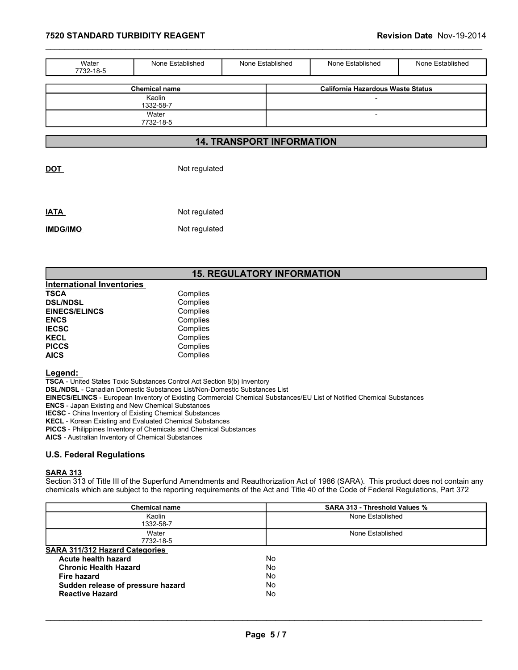| 7520 STANDARD TURBIDITY REAGENT<br>Revision Date Nov-19-2014<br>Water<br>None Established<br>None Established<br>None Established<br>None Established<br>7732-18-5<br><b>California Hazardous Waste Status</b><br><b>Chemical name</b><br>Kaolin<br>$\blacksquare$<br>1332-58-7<br>Water<br>$\overline{\phantom{a}}$<br>7732-18-5<br><b>14. TRANSPORT INFORMATION</b> |  |  |  |
|-----------------------------------------------------------------------------------------------------------------------------------------------------------------------------------------------------------------------------------------------------------------------------------------------------------------------------------------------------------------------|--|--|--|
|                                                                                                                                                                                                                                                                                                                                                                       |  |  |  |
|                                                                                                                                                                                                                                                                                                                                                                       |  |  |  |
|                                                                                                                                                                                                                                                                                                                                                                       |  |  |  |
|                                                                                                                                                                                                                                                                                                                                                                       |  |  |  |
|                                                                                                                                                                                                                                                                                                                                                                       |  |  |  |
|                                                                                                                                                                                                                                                                                                                                                                       |  |  |  |
|                                                                                                                                                                                                                                                                                                                                                                       |  |  |  |
|                                                                                                                                                                                                                                                                                                                                                                       |  |  |  |
|                                                                                                                                                                                                                                                                                                                                                                       |  |  |  |
|                                                                                                                                                                                                                                                                                                                                                                       |  |  |  |
|                                                                                                                                                                                                                                                                                                                                                                       |  |  |  |
|                                                                                                                                                                                                                                                                                                                                                                       |  |  |  |
|                                                                                                                                                                                                                                                                                                                                                                       |  |  |  |
|                                                                                                                                                                                                                                                                                                                                                                       |  |  |  |
|                                                                                                                                                                                                                                                                                                                                                                       |  |  |  |
|                                                                                                                                                                                                                                                                                                                                                                       |  |  |  |
|                                                                                                                                                                                                                                                                                                                                                                       |  |  |  |
|                                                                                                                                                                                                                                                                                                                                                                       |  |  |  |
|                                                                                                                                                                                                                                                                                                                                                                       |  |  |  |

DOT Not regulated

IATA Not regulated IMDG/IMO Not regulated

# 15. REGULATORY INFORMATION

| <b>International Inventories</b> |          |
|----------------------------------|----------|
| <b>TSCA</b>                      | Complies |
| <b>DSL/NDSL</b>                  | Complies |
| <b>EINECS/ELINCS</b>             | Complies |
| <b>ENCS</b>                      | Complies |
| <b>IECSC</b>                     | Complies |
| <b>KECL</b>                      | Complies |
| <b>PICCS</b>                     | Complies |
| <b>AICS</b>                      | Complies |

#### Legend:

## U.S. Federal Regulations

#### SARA 313

| EINECS/ELINCS - European Inventory of Existing Commercial Chemical Substances/EU List of Notified Chemical Substances                                           |
|-----------------------------------------------------------------------------------------------------------------------------------------------------------------|
|                                                                                                                                                                 |
|                                                                                                                                                                 |
|                                                                                                                                                                 |
|                                                                                                                                                                 |
|                                                                                                                                                                 |
|                                                                                                                                                                 |
|                                                                                                                                                                 |
|                                                                                                                                                                 |
|                                                                                                                                                                 |
|                                                                                                                                                                 |
|                                                                                                                                                                 |
|                                                                                                                                                                 |
|                                                                                                                                                                 |
|                                                                                                                                                                 |
|                                                                                                                                                                 |
|                                                                                                                                                                 |
|                                                                                                                                                                 |
|                                                                                                                                                                 |
| chemicals which are subject to the reporting requirements of the Act and Title 40 of the Code of Federal Regulations, Part 372<br>SARA 313 - Threshold Values % |
| None Established                                                                                                                                                |
|                                                                                                                                                                 |
| None Established                                                                                                                                                |
|                                                                                                                                                                 |
|                                                                                                                                                                 |
|                                                                                                                                                                 |
|                                                                                                                                                                 |
|                                                                                                                                                                 |
|                                                                                                                                                                 |
|                                                                                                                                                                 |
|                                                                                                                                                                 |
|                                                                                                                                                                 |
|                                                                                                                                                                 |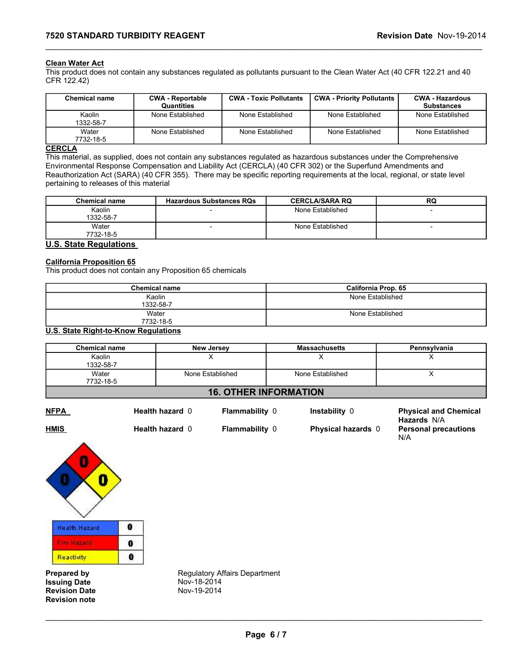### Clean Water Act

**7520 STANDARD TURBIDITY REAGENT**<br> **Clean Water Act**<br>
This product does not contain any substances regulated as pollutants pursuant to the Clean Water Act (40 CFR 122.21 and 40<br>
CFR 122.42) This product does not contain any substances regulated as pollutants pursuant to the Clean Water Act (40 CFR 122.21 and 40 CFR 122.42)

| <b>7520 STANDARD TURBIDITY REAGENT</b>                                                                                          |                                              |                               |                  |                                                                                                                                                                                                                                                                                                                                                                      | Revision Date Nov-19-2014                   |
|---------------------------------------------------------------------------------------------------------------------------------|----------------------------------------------|-------------------------------|------------------|----------------------------------------------------------------------------------------------------------------------------------------------------------------------------------------------------------------------------------------------------------------------------------------------------------------------------------------------------------------------|---------------------------------------------|
|                                                                                                                                 |                                              |                               |                  |                                                                                                                                                                                                                                                                                                                                                                      |                                             |
| <b>Clean Water Act</b><br>CFR 122.42)                                                                                           |                                              |                               |                  | This product does not contain any substances regulated as pollutants pursuant to the Clean Water Act (40 CFR 122.21 and 40                                                                                                                                                                                                                                           |                                             |
| <b>Chemical name</b>                                                                                                            | <b>CWA - Reportable</b><br><b>Quantities</b> | <b>CWA - Toxic Pollutants</b> |                  | <b>CWA - Priority Pollutants</b>                                                                                                                                                                                                                                                                                                                                     | <b>CWA - Hazardous</b><br><b>Substances</b> |
| Kaolin<br>1332-58-7                                                                                                             | None Established                             | None Established              |                  | None Established                                                                                                                                                                                                                                                                                                                                                     | None Established                            |
| Water<br>7732-18-5                                                                                                              | None Established                             | None Established              |                  | None Established                                                                                                                                                                                                                                                                                                                                                     | None Established                            |
| <b>CERCLA</b><br>pertaining to releases of this material                                                                        |                                              |                               |                  | This material, as supplied, does not contain any substances regulated as hazardous substances under the Comprehensive<br>Environmental Response Compensation and Liability Act (CERCLA) (40 CFR 302) or the Superfund Amendments and<br>Reauthorization Act (SARA) (40 CFR 355). There may be specific reporting requirements at the local, regional, or state level |                                             |
| <b>Chemical name</b>                                                                                                            | <b>Hazardous Substances RQs</b>              |                               |                  | <b>CERCLA/SARA RQ</b>                                                                                                                                                                                                                                                                                                                                                | <b>RQ</b>                                   |
|                                                                                                                                 |                                              |                               |                  | None Established                                                                                                                                                                                                                                                                                                                                                     | $\blacksquare$                              |
| Kaolin<br>1332-58-7                                                                                                             |                                              |                               | None Established |                                                                                                                                                                                                                                                                                                                                                                      | $\overline{\phantom{0}}$                    |
| Water<br>7732-18-5                                                                                                              |                                              |                               |                  |                                                                                                                                                                                                                                                                                                                                                                      |                                             |
| <b>U.S. State Regulations</b><br><b>California Proposition 65</b><br>This product does not contain any Proposition 65 chemicals |                                              |                               |                  |                                                                                                                                                                                                                                                                                                                                                                      |                                             |
|                                                                                                                                 |                                              |                               |                  |                                                                                                                                                                                                                                                                                                                                                                      |                                             |
|                                                                                                                                 | <b>Chemical name</b><br>Kaolin               |                               |                  | California Prop. 65<br>None Established                                                                                                                                                                                                                                                                                                                              |                                             |
|                                                                                                                                 | 1332-58-7<br>Water<br>7732-18-5              |                               |                  | None Established                                                                                                                                                                                                                                                                                                                                                     |                                             |

# **CERCLA**

| <b>Chemical name</b> | <b>Hazardous Substances RQs</b> | <b>CERCLA/SARA RQ</b> | RQ |
|----------------------|---------------------------------|-----------------------|----|
| Kaolin<br>1332-58-7  |                                 | None Established      |    |
| Water<br>7732-18-5   |                                 | None Established      |    |

# **U.S. State Regulations**

#### California Proposition 65

| <b>Chemical name</b> | <b>California Prop. 65</b> |
|----------------------|----------------------------|
| Kaolin               | None Established           |
| 1332-58-7            |                            |
| Water                | None Established           |
| 7732-18-5            |                            |

#### U.S. State Right-to-Know Regulations

| Water<br>7732-18-5               | None Established                                           |                                 | None Established                              | None Established                                                                                            | None Established                                                                                                             |  |
|----------------------------------|------------------------------------------------------------|---------------------------------|-----------------------------------------------|-------------------------------------------------------------------------------------------------------------|------------------------------------------------------------------------------------------------------------------------------|--|
| <b>CERCLA</b>                    |                                                            |                                 |                                               |                                                                                                             |                                                                                                                              |  |
|                                  |                                                            |                                 |                                               |                                                                                                             | This material, as supplied, does not contain any substances regulated as hazardous substances under the Comprehensive        |  |
|                                  |                                                            |                                 |                                               | Environmental Response Compensation and Liability Act (CERCLA) (40 CFR 302) or the Superfund Amendments and |                                                                                                                              |  |
|                                  |                                                            |                                 |                                               |                                                                                                             | Reauthorization Act (SARA) (40 CFR 355). There may be specific reporting requirements at the local, regional, or state level |  |
|                                  | pertaining to releases of this material                    |                                 |                                               |                                                                                                             |                                                                                                                              |  |
| <b>Chemical name</b>             |                                                            | <b>Hazardous Substances RQs</b> |                                               | <b>CERCLA/SARA RQ</b>                                                                                       | <b>RQ</b>                                                                                                                    |  |
| Kaolin<br>1332-58-7              |                                                            |                                 |                                               | None Established                                                                                            |                                                                                                                              |  |
| Water<br>7732-18-5               |                                                            |                                 |                                               | None Established                                                                                            |                                                                                                                              |  |
| <b>U.S. State Regulations</b>    |                                                            |                                 |                                               |                                                                                                             |                                                                                                                              |  |
| <b>California Proposition 65</b> | This product does not contain any Proposition 65 chemicals |                                 |                                               |                                                                                                             |                                                                                                                              |  |
|                                  | <b>Chemical name</b>                                       |                                 |                                               | California Prop. 65                                                                                         |                                                                                                                              |  |
|                                  | Kaolin<br>1332-58-7                                        |                                 |                                               | None Established                                                                                            |                                                                                                                              |  |
|                                  | Water<br>7732-18-5                                         |                                 |                                               | None Established                                                                                            |                                                                                                                              |  |
|                                  | <b>U.S. State Right-to-Know Regulations</b>                |                                 |                                               |                                                                                                             |                                                                                                                              |  |
| <b>Chemical name</b>             |                                                            | <b>New Jersey</b>               |                                               | <b>Massachusetts</b>                                                                                        | Pennsylvania                                                                                                                 |  |
| Kaolin<br>1332-58-7              |                                                            | X                               |                                               | X                                                                                                           |                                                                                                                              |  |
| Water<br>7732-18-5               |                                                            | None Established                |                                               | None Established                                                                                            | X                                                                                                                            |  |
|                                  |                                                            |                                 | <b>16. OTHER INFORMATION</b>                  |                                                                                                             |                                                                                                                              |  |
| <b>NFPA</b>                      | Health hazard 0                                            |                                 | Flammability 0                                | Instability 0                                                                                               | <b>Physical and Chemical</b><br>Hazards N/A                                                                                  |  |
| <b>LIBRIC</b>                    | $II = -14L$ $I = -22L$                                     |                                 | $\Gamma$ lamanaala $\Gamma$ iiiiiiii $\Gamma$ | Dhusataal baasada O                                                                                         | Developed monetarities.                                                                                                      |  |

### 16. OTHER INFORMATION

HMIS **Health hazard 0** Flammability 0 Physical hazards 0

\_\_\_\_\_\_\_\_\_\_\_\_\_\_\_\_\_\_\_\_\_\_\_\_\_\_\_\_\_\_\_\_\_\_\_\_\_\_\_\_\_\_\_\_\_\_\_\_\_\_\_\_\_\_\_\_\_\_\_\_\_\_\_\_\_\_\_\_\_\_\_\_\_\_\_\_\_\_\_\_\_\_\_\_\_\_\_\_\_\_\_\_\_

NFPA **Health hazard 0** Flammability 0 Instability 0 Physical and Chemical Hazards N/A  $\frac{1}{2}$ <br>
ability 0<br>
Physical hazards 0<br>
Personal precautions<br>
N/A<br>
Page 6 / 7 Personal precautions N/A



Issuing Date Nov-18-2014<br>
Revision Date Nov-19-2014 **Revision Date** Revision note

**Prepared by Separate Begulatory Affairs Department Issuing Date Concrete Begulatory Affairs Department**